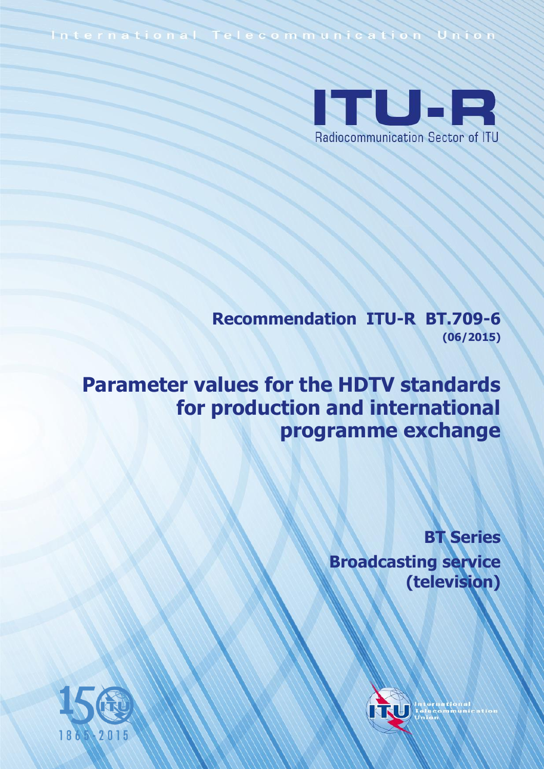International Telecommunication Union



**Recommendation ITU-R BT.709-6 (06/2015)**

# **Parameter values for the HDTV standards for production and international programme exchange**

**BT Series Broadcasting service (television)**



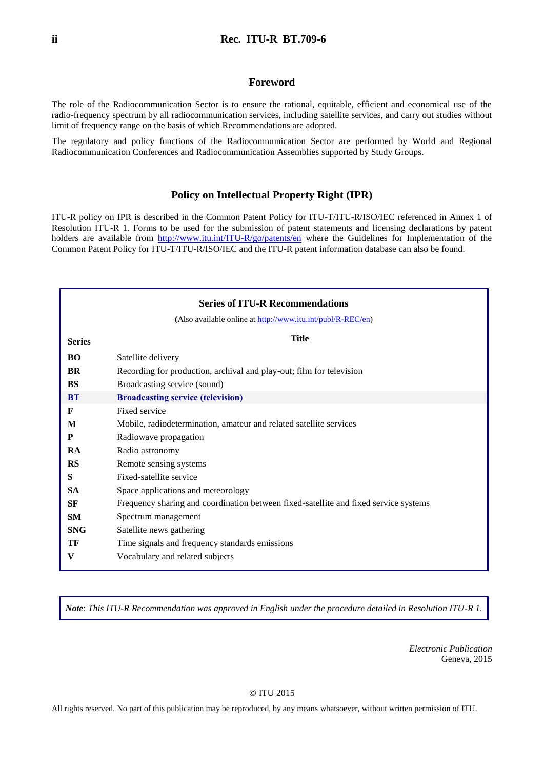#### **Foreword**

The role of the Radiocommunication Sector is to ensure the rational, equitable, efficient and economical use of the radio-frequency spectrum by all radiocommunication services, including satellite services, and carry out studies without limit of frequency range on the basis of which Recommendations are adopted.

The regulatory and policy functions of the Radiocommunication Sector are performed by World and Regional Radiocommunication Conferences and Radiocommunication Assemblies supported by Study Groups.

#### **Policy on Intellectual Property Right (IPR)**

ITU-R policy on IPR is described in the Common Patent Policy for ITU-T/ITU-R/ISO/IEC referenced in Annex 1 of Resolution ITU-R 1. Forms to be used for the submission of patent statements and licensing declarations by patent holders are available from <http://www.itu.int/ITU-R/go/patents/en> where the Guidelines for Implementation of the Common Patent Policy for ITU-T/ITU-R/ISO/IEC and the ITU-R patent information database can also be found.

|               | <b>Series of ITU-R Recommendations</b>                                               |
|---------------|--------------------------------------------------------------------------------------|
|               | (Also available online at http://www.itu.int/publ/R-REC/en)                          |
| <b>Series</b> | <b>Title</b>                                                                         |
| BO            | Satellite delivery                                                                   |
| BR            | Recording for production, archival and play-out; film for television                 |
| <b>BS</b>     | Broadcasting service (sound)                                                         |
| <b>BT</b>     | <b>Broadcasting service (television)</b>                                             |
| F             | Fixed service                                                                        |
| M             | Mobile, radiodetermination, amateur and related satellite services                   |
| P             | Radiowave propagation                                                                |
| RA            | Radio astronomy                                                                      |
| <b>RS</b>     | Remote sensing systems                                                               |
| S             | Fixed-satellite service                                                              |
| <b>SA</b>     | Space applications and meteorology                                                   |
| <b>SF</b>     | Frequency sharing and coordination between fixed-satellite and fixed service systems |
| <b>SM</b>     | Spectrum management                                                                  |
| <b>SNG</b>    | Satellite news gathering                                                             |
| TF            | Time signals and frequency standards emissions                                       |
| V             | Vocabulary and related subjects                                                      |

*Note*: *This ITU-R Recommendation was approved in English under the procedure detailed in Resolution ITU-R 1.*

*Electronic Publication* Geneva, 2015

#### © ITU 2015

All rights reserved. No part of this publication may be reproduced, by any means whatsoever, without written permission of ITU.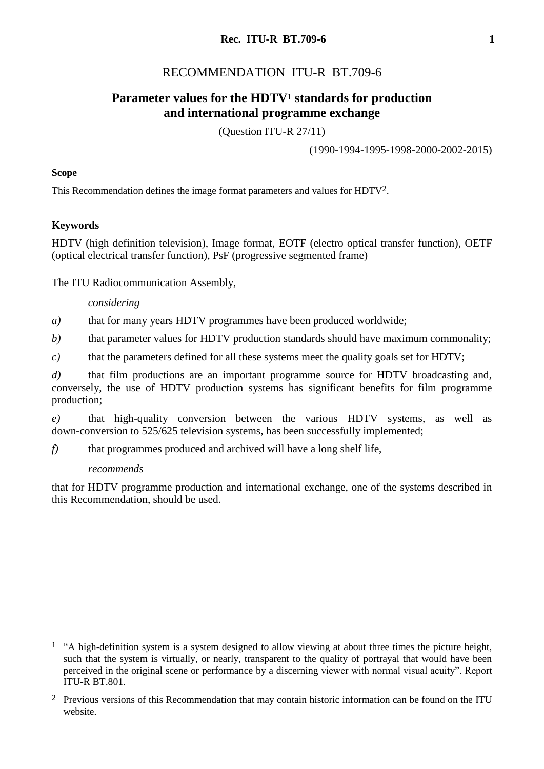# RECOMMENDATION ITU-R BT.709-6

# **Parameter values for the HDTV<sup>1</sup> standards for production and international programme exchange**

(Question ITU-R 27/11)

(1990-1994-1995-1998-2000-2002-2015)

### **Scope**

This Recommendation defines the image format parameters and values for HDTV2.

### **Keywords**

HDTV (high definition television), Image format, EOTF (electro optical transfer function), OETF (optical electrical transfer function), PsF (progressive segmented frame)

The ITU Radiocommunication Assembly,

### *considering*

*a)* that for many years HDTV programmes have been produced worldwide;

*b)* that parameter values for HDTV production standards should have maximum commonality;

*c)* that the parameters defined for all these systems meet the quality goals set for HDTV;

*d*) that film productions are an important programme source for HDTV broadcasting and, conversely, the use of HDTV production systems has significant benefits for film programme production;

*e)* that high-quality conversion between the various HDTV systems, as well as down-conversion to 525/625 television systems, has been successfully implemented;

*f)* that programmes produced and archived will have a long shelf life,

### *recommends*

1

that for HDTV programme production and international exchange, one of the systems described in this Recommendation, should be used.

<sup>&</sup>lt;sup>1</sup> "A high-definition system is a system designed to allow viewing at about three times the picture height, such that the system is virtually, or nearly, transparent to the quality of portrayal that would have been perceived in the original scene or performance by a discerning viewer with normal visual acuity". Report ITU-R BT.801.

<sup>&</sup>lt;sup>2</sup> Previous versions of this Recommendation that may contain historic information can be found on the ITU website.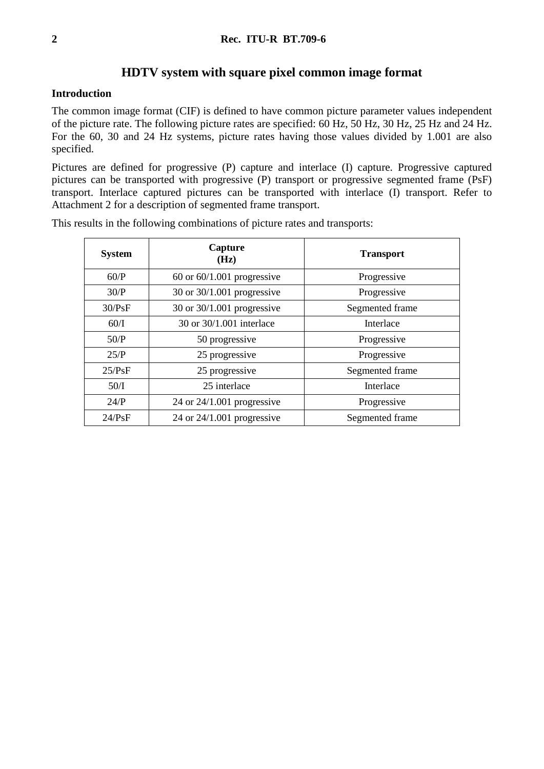### **HDTV system with square pixel common image format**

### **Introduction**

The common image format (CIF) is defined to have common picture parameter values independent of the picture rate. The following picture rates are specified: 60 Hz, 50 Hz, 30 Hz, 25 Hz and 24 Hz. For the 60, 30 and 24 Hz systems, picture rates having those values divided by 1.001 are also specified.

Pictures are defined for progressive (P) capture and interlace (I) capture. Progressive captured pictures can be transported with progressive (P) transport or progressive segmented frame (PsF) transport. Interlace captured pictures can be transported with interlace (I) transport. Refer to Attachment 2 for a description of segmented frame transport.

| <b>System</b> | Capture<br>(Hz)                | <b>Transport</b> |
|---------------|--------------------------------|------------------|
| 60/P          | $60$ or $60/1.001$ progressive | Progressive      |
| 30/P          | 30 or 30/1.001 progressive     | Progressive      |
| 30/PsF        | 30 or 30/1.001 progressive     | Segmented frame  |
| 60/I          | 30 or 30/1.001 interlace       | Interlace        |
| 50/P          | 50 progressive                 | Progressive      |
| 25/P          | 25 progressive                 | Progressive      |
| 25/PsF        | 25 progressive                 | Segmented frame  |
| 50/I          | 25 interlace                   | Interlace        |
| 24/P          | 24 or $24/1.001$ progressive   | Progressive      |
| 24/PsF        | 24 or $24/1.001$ progressive   | Segmented frame  |

This results in the following combinations of picture rates and transports: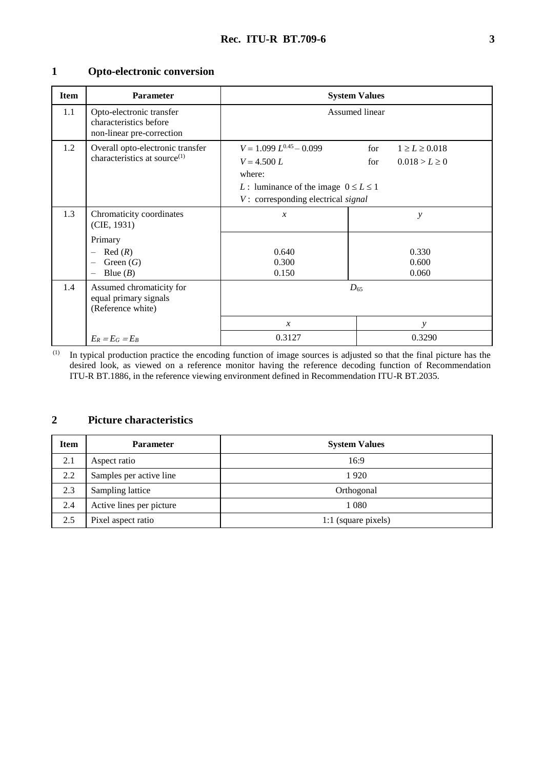# **1 Opto-electronic conversion**

| <b>Item</b> | <b>Parameter</b>                                                                | <b>System Values</b>                                                                                                                                                                                      |               |                         |  |  |  |  |
|-------------|---------------------------------------------------------------------------------|-----------------------------------------------------------------------------------------------------------------------------------------------------------------------------------------------------------|---------------|-------------------------|--|--|--|--|
| $1.1\,$     | Opto-electronic transfer<br>characteristics before<br>non-linear pre-correction | Assumed linear                                                                                                                                                                                            |               |                         |  |  |  |  |
| 1.2         | Overall opto-electronic transfer<br>characteristics at source <sup>(1)</sup>    | $V = 1.099 L^{0.45} - 0.099$<br>for<br>$1 \geq L \geq 0.018$<br>$V = 4.500 L$<br>$0.018 > L \geq 0$<br>for<br>where:<br>L: luminance of the image $0 \le L \le 1$<br>$V:$ corresponding electrical signal |               |                         |  |  |  |  |
| 1.3         | Chromaticity coordinates<br>(CIE, 1931)                                         | $\mathcal{X}$                                                                                                                                                                                             | $\mathcal{Y}$ |                         |  |  |  |  |
|             | Primary<br>Red(R)<br>Green $(G)$<br>Blue $(B)$                                  | 0.640<br>0.300<br>0.150                                                                                                                                                                                   |               | 0.330<br>0.600<br>0.060 |  |  |  |  |
| 1.4         | Assumed chromaticity for<br>equal primary signals<br>(Reference white)          | $D_{65}$                                                                                                                                                                                                  |               |                         |  |  |  |  |
|             |                                                                                 | $\mathcal{X}$                                                                                                                                                                                             |               | y                       |  |  |  |  |
|             | $E_R = E_G = E_B$                                                               | 0.3127                                                                                                                                                                                                    | 0.3290        |                         |  |  |  |  |

(1) In typical production practice the encoding function of image sources is adjusted so that the final picture has the desired look, as viewed on a reference monitor having the reference decoding function of Recommendation ITU-R BT.1886, in the reference viewing environment defined in Recommendation ITU-R BT.2035.

### **2 Picture characteristics**

| <b>Item</b> | <b>Parameter</b>         | <b>System Values</b> |
|-------------|--------------------------|----------------------|
| 2.1         | Aspect ratio             | 16:9                 |
| 2.2         | Samples per active line  | 1920                 |
| 2.3         | Sampling lattice         | Orthogonal           |
| 2.4         | Active lines per picture | 1 0 8 0              |
| 2.5         | Pixel aspect ratio       | 1:1 (square pixels)  |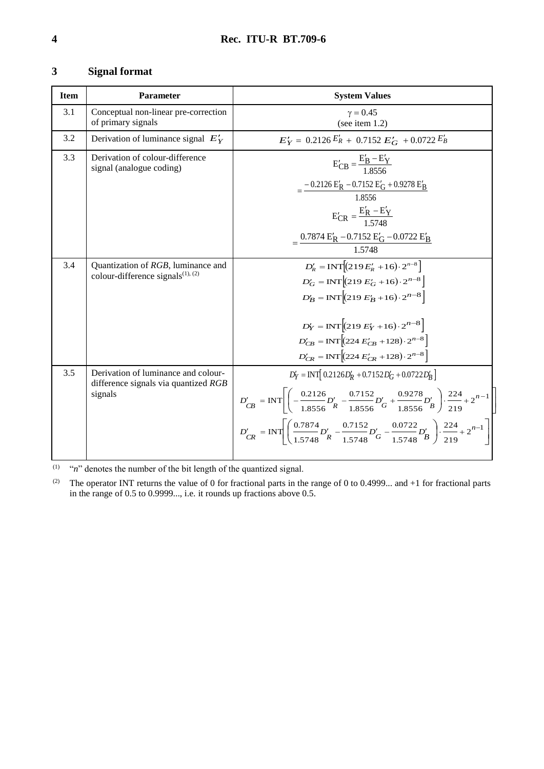# **3 Signal format**

| <b>Item</b> | <b>Parameter</b>                                                                       | <b>System Values</b>                                                                                                                                                                                                                                                                                                                                                                                             |
|-------------|----------------------------------------------------------------------------------------|------------------------------------------------------------------------------------------------------------------------------------------------------------------------------------------------------------------------------------------------------------------------------------------------------------------------------------------------------------------------------------------------------------------|
| 3.1         | Conceptual non-linear pre-correction<br>of primary signals                             | $\gamma = 0.45$<br>(see item $1.2$ )                                                                                                                                                                                                                                                                                                                                                                             |
| 3.2         | Derivation of luminance signal $E'_{Y}$                                                | $E'_Y = 0.2126 E'_R + 0.7152 E'_G + 0.0722 E'_B$                                                                                                                                                                                                                                                                                                                                                                 |
| 3.3         | Derivation of colour-difference<br>signal (analogue coding)                            | $E'_{CB} = \frac{E'_B - E'_Y}{1.8556}$<br>$=\frac{-0.2126 \text{ E}'_{R} - 0.7152 \text{ E}'_{G} + 0.9278 \text{ E}'_{B}}{2}$<br>1.8556<br>$E'_{CR} = \frac{E'_R - E'_Y}{1.5748}$                                                                                                                                                                                                                                |
|             |                                                                                        | $=\frac{0.7874 \text{ E}'_{\text{R}} - 0.7152 \text{ E}'_{\text{G}} - 0.0722 \text{ E}'_{\text{B}}}{1.5748}$                                                                                                                                                                                                                                                                                                     |
| 3.4         | Quantization of RGB, luminance and<br>colour-difference signals <sup>(1), (2)</sup>    | $D'_R = INT[(219E'_R + 16) \cdot 2^{n-8}]$<br>$D'_G = INT \Big[ (219 E'_G + 16) \cdot 2^{n-8} \Big]$<br>$D'_B = INT \Big  (219 E'_B + 16) \cdot 2^{n-8} \Big $<br>$D'_Y = INT \Big[ (219 E'_Y + 16) \cdot 2^{n-8} \Big]$<br>$D'_{CB} = INT \Big[ (224 E'_{CB} + 128) \cdot 2^{n-8} \Big]$<br>$D'_{CR} = INT \Big[ (224 E'_{CR} + 128) \cdot 2^{n-8} \Big]$                                                       |
| 3.5         | Derivation of luminance and colour-<br>difference signals via quantized RGB<br>signals | $D'_Y = INT \left[ 0.2126 D'_R + 0.7152 D'_G + 0.0722 D'_R \right]$<br>$D'_{CB} = \text{INT}\left[-\frac{0.2126}{1.8556}D'_{R} - \frac{0.7152}{1.8556}D'_{G} + \frac{0.9278}{1.8556}D'_{B}\right]\cdot\frac{224}{219} + 2^{n-1}\right]$<br>$D'_{CR} = \text{INT}\left[\left(\frac{0.7874}{1.5748}D'_{R} - \frac{0.7152}{1.5748}D'_{G} - \frac{0.0722}{1.5748}D'_{B}\right)\cdot\frac{224}{219} + 2^{n-1}\right]$ |

 $\binom{(1)}{n}$  "*n*" denotes the number of the bit length of the quantized signal.

(2) The operator INT returns the value of 0 for fractional parts in the range of 0 to 0.4999... and  $+1$  for fractional parts in the range of 0.5 to 0.9999..., i.e. it rounds up fractions above 0.5.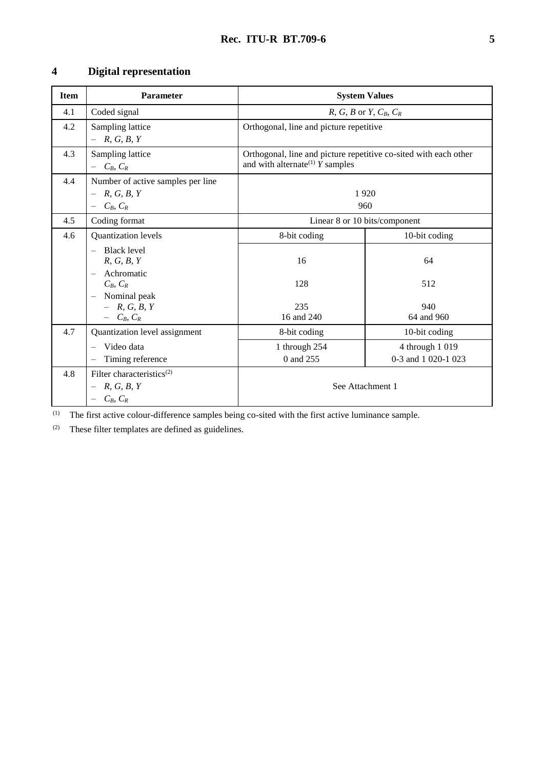# **4 Digital representation**

| <b>Item</b> | <b>Parameter</b>                                                                   | <b>System Values</b>                                                                                              |                                        |  |  |  |  |
|-------------|------------------------------------------------------------------------------------|-------------------------------------------------------------------------------------------------------------------|----------------------------------------|--|--|--|--|
| 4.1         | Coded signal                                                                       | R, G, B or Y, $C_B$ , $C_R$                                                                                       |                                        |  |  |  |  |
| 4.2         | Sampling lattice<br>R, G, B, Y                                                     | Orthogonal, line and picture repetitive                                                                           |                                        |  |  |  |  |
| 4.3         | Sampling lattice<br>$C_B, C_R$                                                     | Orthogonal, line and picture repetitive co-sited with each other<br>and with alternate <sup>(1)</sup> $Y$ samples |                                        |  |  |  |  |
| 4.4         | Number of active samples per line<br>R, G, B, Y<br>$C_B, C_R$<br>$\qquad \qquad -$ | 1920<br>960                                                                                                       |                                        |  |  |  |  |
| 4.5         | Coding format                                                                      | Linear 8 or 10 bits/component                                                                                     |                                        |  |  |  |  |
| 4.6         | Quantization levels                                                                | 8-bit coding                                                                                                      | 10-bit coding                          |  |  |  |  |
|             | <b>Black level</b><br>R, G, B, Y<br>Achromatic                                     | 16                                                                                                                | 64                                     |  |  |  |  |
|             | $C_B, C_R$                                                                         | 128                                                                                                               | 512                                    |  |  |  |  |
|             | Nominal peak<br>$- R, G, B, Y$<br>$- C_B, C_R$                                     | 235<br>16 and 240                                                                                                 | 940<br>64 and 960                      |  |  |  |  |
| 4.7         | Quantization level assignment                                                      | 8-bit coding                                                                                                      | 10-bit coding                          |  |  |  |  |
|             | Video data<br>Timing reference                                                     | 1 through 254<br>0 and 255                                                                                        | 4 through 1 019<br>0-3 and 1 020-1 023 |  |  |  |  |
| 4.8         | Filter characteristics <sup>(2)</sup><br>R, G, B, Y<br>$C_B, C_R$                  | See Attachment 1                                                                                                  |                                        |  |  |  |  |

 $\overline{1}$  The first active colour-difference samples being co-sited with the first active luminance sample.

(2) These filter templates are defined as guidelines.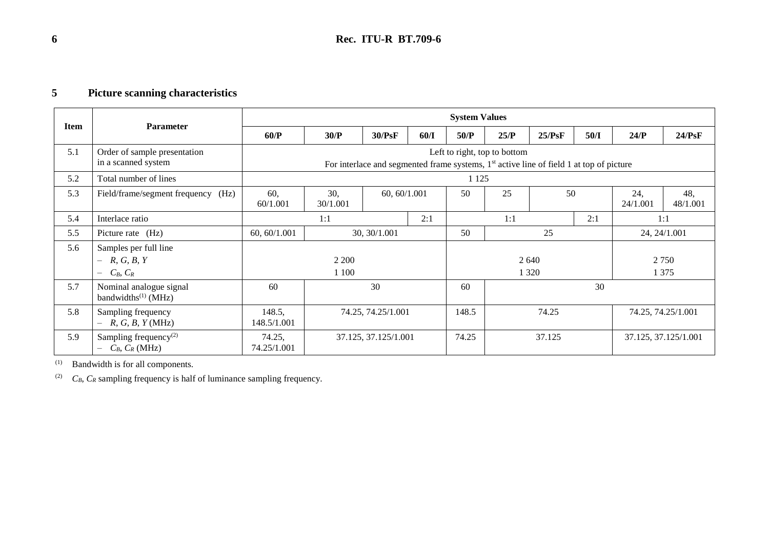# **5 Picture scanning characteristics**

|      |                                                                       | <b>System Values</b>  |                                                                                                                                     |              |                    |          |      |                      |                    |                 |        |
|------|-----------------------------------------------------------------------|-----------------------|-------------------------------------------------------------------------------------------------------------------------------------|--------------|--------------------|----------|------|----------------------|--------------------|-----------------|--------|
| Item | <b>Parameter</b>                                                      | 60/P                  | 30/P                                                                                                                                | 30/PsF       | 60/I               | 50/P     | 25/P | 25/PsF               | 50/I               | 24/P            | 24/PsF |
| 5.1  | Order of sample presentation<br>in a scanned system                   |                       | Left to right, top to bottom<br>For interlace and segmented frame systems, 1 <sup>st</sup> active line of field 1 at top of picture |              |                    |          |      |                      |                    |                 |        |
| 5.2  | Total number of lines                                                 |                       |                                                                                                                                     |              |                    | 1 1 2 5  |      |                      |                    |                 |        |
| 5.3  | Field/frame/segment frequency<br>(Hz)                                 | 60,<br>60/1.001       | 30,<br>60, 60/1.001<br>30/1.001                                                                                                     |              | 50                 | 25       | 50   |                      | 24,<br>24/1.001    | 48,<br>48/1.001 |        |
| 5.4  | Interlace ratio                                                       | 2:1<br>1:1            |                                                                                                                                     |              | 1:1<br>2:1         |          | 1:1  |                      |                    |                 |        |
| 5.5  | Picture rate (Hz)                                                     | 60, 60/1.001          |                                                                                                                                     | 30, 30/1.001 |                    | 50<br>25 |      |                      |                    | 24, 24/1.001    |        |
| 5.6  | Samples per full line<br>R, G, B, Y<br>$-$<br>$C_B, C_R$<br>$-$       | 2 2 0 0<br>1 1 0 0    |                                                                                                                                     |              | 2 6 4 0<br>1 3 2 0 |          |      |                      | 2 7 5 0<br>1 3 7 5 |                 |        |
| 5.7  | Nominal analogue signal<br>bandwidths $^{(1)}$ (MHz)                  | 60                    | 30                                                                                                                                  |              | 60                 | 30       |      |                      |                    |                 |        |
| 5.8  | Sampling frequency<br>R, G, B, Y(MHz)<br>$\overline{\phantom{0}}$     | 148.5,<br>148.5/1.001 | 74.25, 74.25/1.001                                                                                                                  |              | 148.5              | 74.25    |      |                      | 74.25, 74.25/1.001 |                 |        |
| 5.9  | Sampling frequency <sup><math>(2)</math></sup><br>$C_B$ , $C_R$ (MHz) | 74.25,<br>74.25/1.001 | 37.125, 37.125/1.001                                                                                                                |              | 74.25<br>37.125    |          |      | 37.125, 37.125/1.001 |                    |                 |        |

(1) Bandwidth is for all components.

(2)  $C_B$ ,  $C_R$  sampling frequency is half of luminance sampling frequency.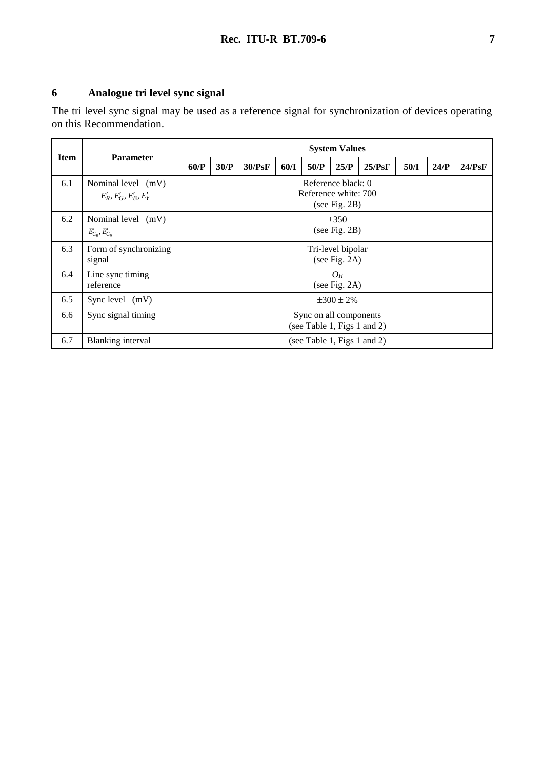# **6 Analogue tri level sync signal**

The tri level sync signal may be used as a reference signal for synchronization of devices operating on this Recommendation.

|             |                                                        | <b>System Values</b>                                  |                                                             |        |      |                             |      |        |      |      |        |
|-------------|--------------------------------------------------------|-------------------------------------------------------|-------------------------------------------------------------|--------|------|-----------------------------|------|--------|------|------|--------|
| <b>Item</b> | <b>Parameter</b>                                       | 60/P                                                  | 30/P                                                        | 30/PsF | 60/I | 50/P                        | 25/P | 25/PsF | 50/I | 24/P | 24/PsF |
| 6.1         | Nominal level (mV)<br>$E'_{R}, E'_{G}, E'_{B}, E'_{Y}$ |                                                       | Reference black: 0<br>Reference white: 700<br>(see Fig. 2B) |        |      |                             |      |        |      |      |        |
| 6.2         | Nominal level (mV)<br>$E'_{C_R}, E'_{C_R}$             | $\pm 350$<br>(see Fig. $2B$ )                         |                                                             |        |      |                             |      |        |      |      |        |
| 6.3         | Form of synchronizing<br>signal                        | Tri-level bipolar<br>(see Fig. $2A$ )                 |                                                             |        |      |                             |      |        |      |      |        |
| 6.4         | Line sync timing<br>reference                          | $O_H$<br>(see Fig. $2A$ )                             |                                                             |        |      |                             |      |        |      |      |        |
| 6.5         | Sync level $(mV)$                                      | $\pm 300 \pm 2\%$                                     |                                                             |        |      |                             |      |        |      |      |        |
| 6.6         | Sync signal timing                                     | Sync on all components<br>(see Table 1, Figs 1 and 2) |                                                             |        |      |                             |      |        |      |      |        |
| 6.7         | Blanking interval                                      |                                                       |                                                             |        |      | (see Table 1, Figs 1 and 2) |      |        |      |      |        |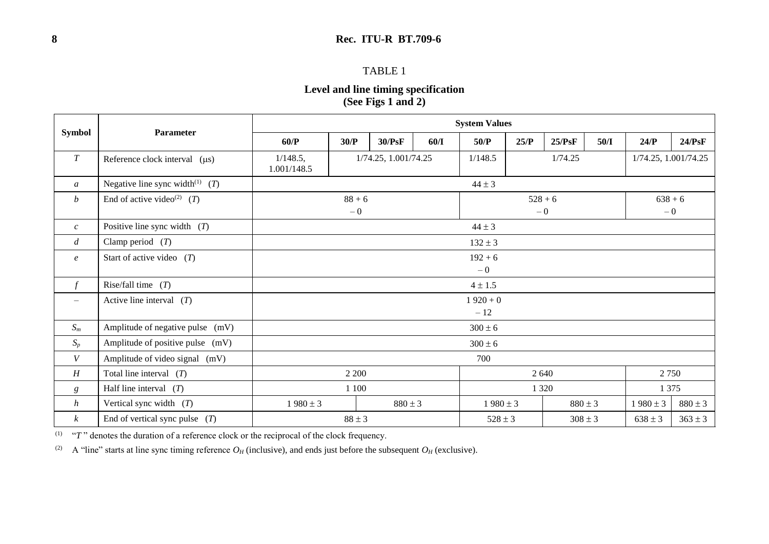### **8 Rec. ITU-R BT.709-6**

### TABLE 1

# **Level and line timing specification (See Figs 1 and 2)**

|                          | Parameter                                     | <b>System Values</b>        |                                       |             |                    |              |         |             |      |                      |             |  |
|--------------------------|-----------------------------------------------|-----------------------------|---------------------------------------|-------------|--------------------|--------------|---------|-------------|------|----------------------|-------------|--|
| <b>Symbol</b>            |                                               | 60/P                        | 30/P                                  | 30/PsF      | 60/I               | 50/P         | 25/P    | 25/PsF      | 50/I | 24/P                 | 24/PsF      |  |
| $\cal T$                 | Reference clock interval $(\mu s)$            | 1/148.5,<br>1.001/148.5     | 1/74.25, 1.001/74.25                  |             |                    | 1/148.5      | 1/74.25 |             |      | 1/74.25, 1.001/74.25 |             |  |
| $\mathfrak{a}$           | Negative line sync width <sup>(1)</sup> $(T)$ |                             |                                       |             |                    | $44 \pm 3$   |         |             |      |                      |             |  |
| $\boldsymbol{b}$         | End of active video <sup>(2)</sup> (T)        |                             | $88 + 6$<br>$528 + 6$<br>$-0$<br>$-0$ |             |                    |              |         |             |      | $638 + 6$<br>$-0$    |             |  |
| $\mathcal{C}$            | Positive line sync width $(T)$                | $44 \pm 3$                  |                                       |             |                    |              |         |             |      |                      |             |  |
| $\overline{d}$           | Clamp period $(T)$                            | $132 \pm 3$                 |                                       |             |                    |              |         |             |      |                      |             |  |
| $\boldsymbol{e}$         | Start of active video $(T)$                   | $192 + 6$<br>$-0$           |                                       |             |                    |              |         |             |      |                      |             |  |
| $\int$                   | Rise/fall time $(T)$                          |                             |                                       |             |                    | $4 \pm 1.5$  |         |             |      |                      |             |  |
| $\overline{\phantom{m}}$ | Active line interval $(T)$                    | $1920 + 0$<br>$-12$         |                                       |             |                    |              |         |             |      |                      |             |  |
| $S_m$                    | Amplitude of negative pulse (mV)              | $300 \pm 6$                 |                                       |             |                    |              |         |             |      |                      |             |  |
| $S_p$                    | Amplitude of positive pulse (mV)              | $300 \pm 6$                 |                                       |             |                    |              |         |             |      |                      |             |  |
| V                        | Amplitude of video signal (mV)                | 700                         |                                       |             |                    |              |         |             |      |                      |             |  |
| $\cal H$                 | Total line interval $(T)$                     | 2 2 0 0<br>2 640<br>2 7 5 0 |                                       |             |                    |              |         |             |      |                      |             |  |
| $\boldsymbol{g}$         | Half line interval $(T)$                      | 1 100                       |                                       |             | 1 3 2 0<br>1 3 7 5 |              |         |             |      |                      |             |  |
| $\boldsymbol{h}$         | Vertical sync width $(T)$                     | $1980 \pm 3$                |                                       | $880 \pm 3$ |                    | $1980 \pm 3$ |         | $880 \pm 3$ |      | $1980 \pm 3$         | $880 \pm 3$ |  |
| $\boldsymbol{k}$         | End of vertical sync pulse $(T)$              |                             | $88 \pm 3$                            |             |                    | $528 \pm 3$  |         | $308 \pm 3$ |      | $638 \pm 3$          | $363 \pm 3$ |  |

 $T^{\prime\prime}$  " $T^{\prime\prime}$  denotes the duration of a reference clock or the reciprocal of the clock frequency.

(2) A "line" starts at line sync timing reference  $O_H$  (inclusive), and ends just before the subsequent  $O_H$  (exclusive).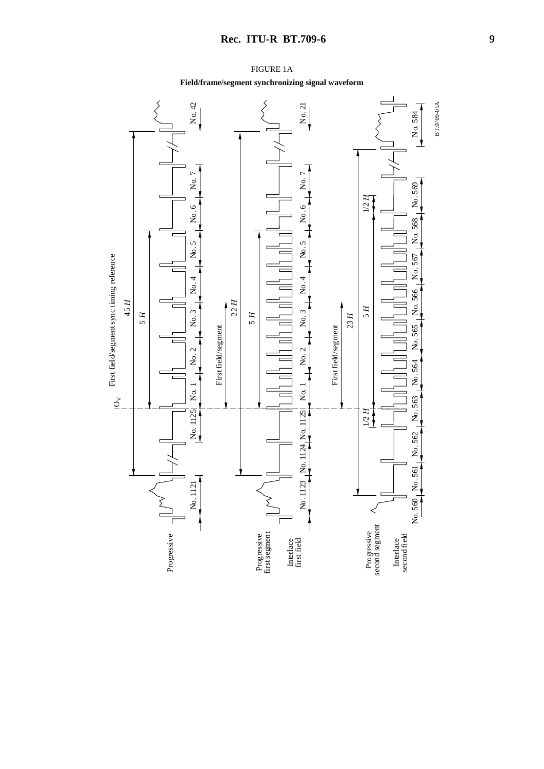

FIGURE 1A **Field/frame/segment synchronizing signal waveform**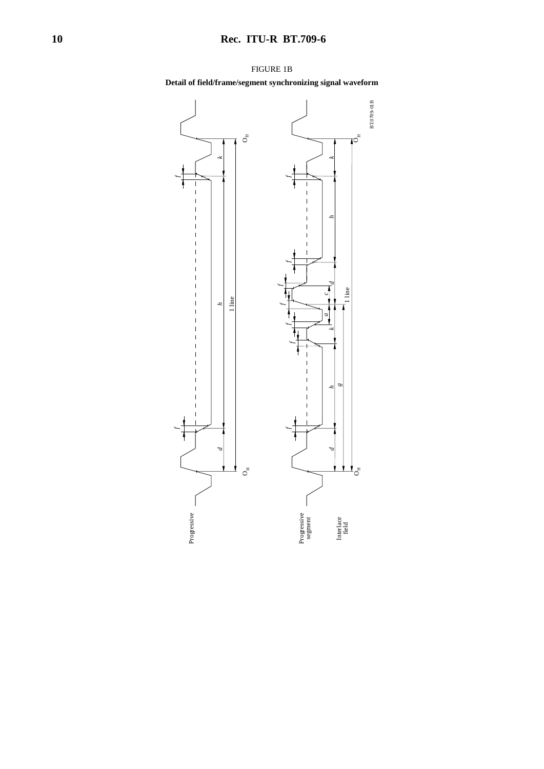

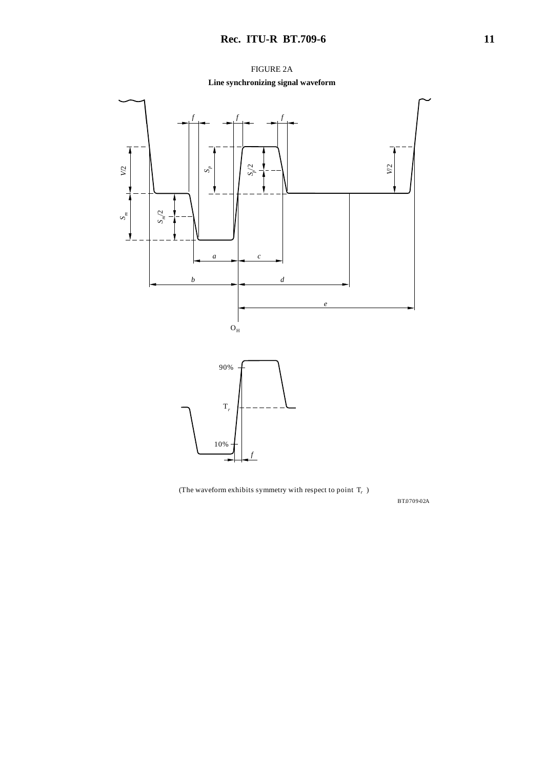

(The waveform exhibits symmetry with respect to point  $T_r$  )

BT.0709-0 2A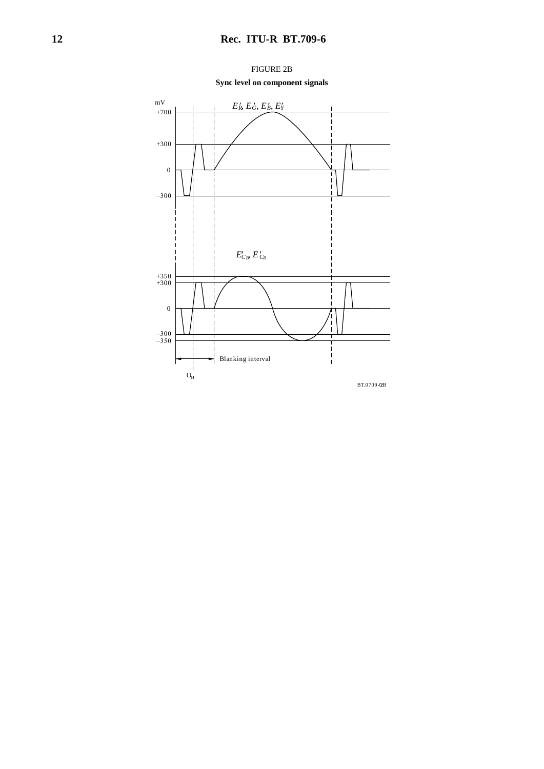

FIGURE 2B **Sync level on component signals**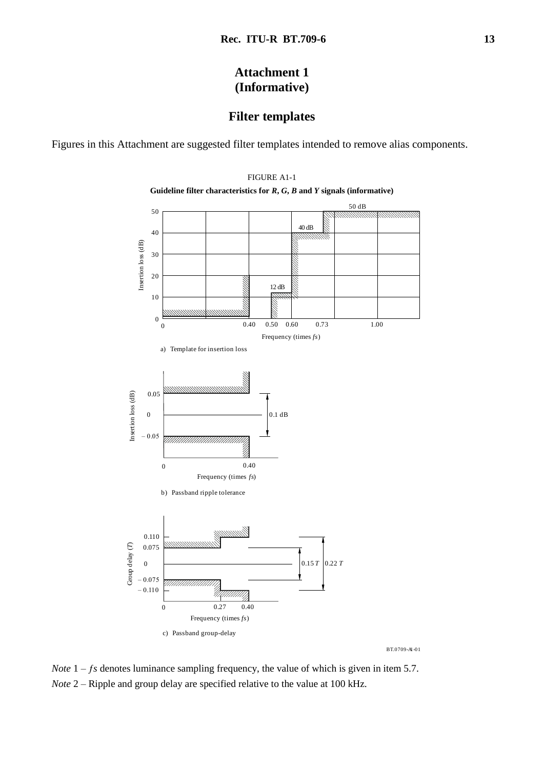# **Attachment 1 (Informative)**

# **Filter templates**

Figures in this Attachment are suggested filter templates intended to remove alias components.



FIGURE A1-1

BT.0709-A1-01

*Note*  $1 - fs$  denotes luminance sampling frequency, the value of which is given in item 5.7. *Note* 2 – Ripple and group delay are specified relative to the value at 100 kHz.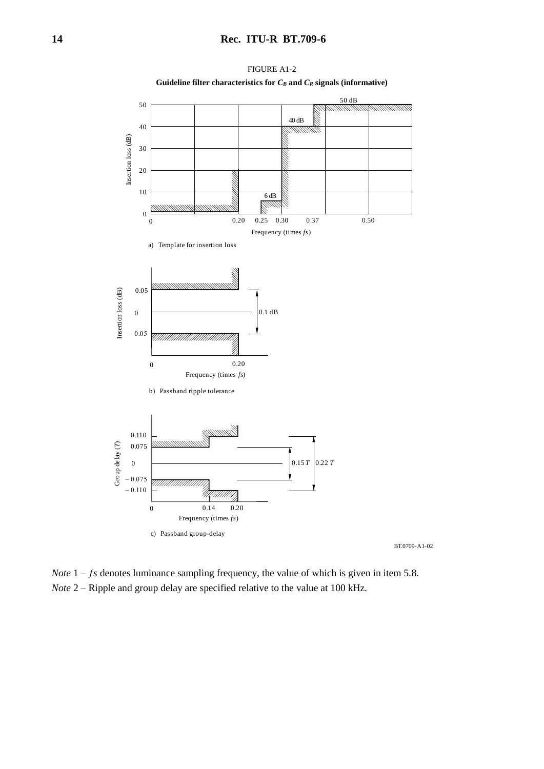

FIGURE A1-2 **Guideline filter characteristics for** *C<sup>B</sup>* **and** *C<sup>R</sup>* **signals (informative)**

*Note*  $1 - fs$  denotes luminance sampling frequency, the value of which is given in item 5.8. *Note* 2 – Ripple and group delay are specified relative to the value at 100 kHz.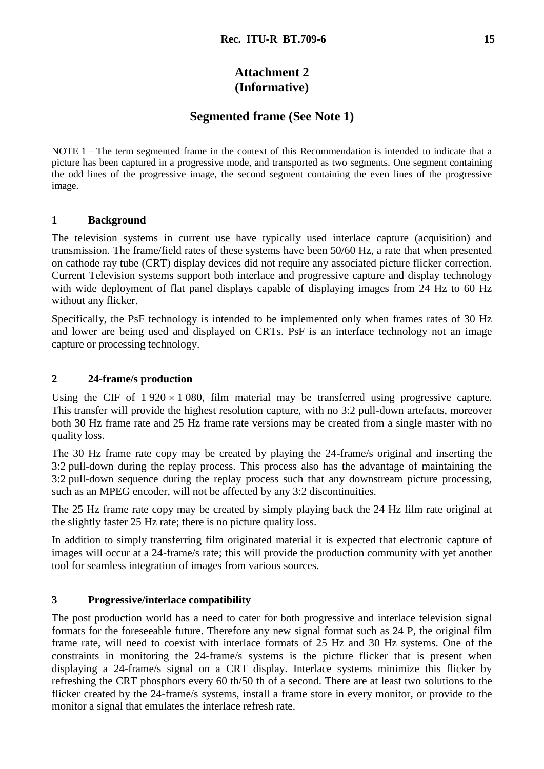# **Attachment 2 (Informative)**

# **Segmented frame (See Note 1)**

NOTE 1 – The term segmented frame in the context of this Recommendation is intended to indicate that a picture has been captured in a progressive mode, and transported as two segments. One segment containing the odd lines of the progressive image, the second segment containing the even lines of the progressive image.

### **1 Background**

The television systems in current use have typically used interlace capture (acquisition) and transmission. The frame/field rates of these systems have been 50/60 Hz, a rate that when presented on cathode ray tube (CRT) display devices did not require any associated picture flicker correction. Current Television systems support both interlace and progressive capture and display technology with wide deployment of flat panel displays capable of displaying images from 24 Hz to 60 Hz without any flicker.

Specifically, the PsF technology is intended to be implemented only when frames rates of 30 Hz and lower are being used and displayed on CRTs. PsF is an interface technology not an image capture or processing technology.

### **2 24-frame/s production**

Using the CIF of  $1\,920 \times 1\,080$ , film material may be transferred using progressive capture. This transfer will provide the highest resolution capture, with no 3:2 pull-down artefacts, moreover both 30 Hz frame rate and 25 Hz frame rate versions may be created from a single master with no quality loss.

The 30 Hz frame rate copy may be created by playing the 24-frame/s original and inserting the 3:2 pull-down during the replay process. This process also has the advantage of maintaining the 3:2 pull-down sequence during the replay process such that any downstream picture processing, such as an MPEG encoder, will not be affected by any 3:2 discontinuities.

The 25 Hz frame rate copy may be created by simply playing back the 24 Hz film rate original at the slightly faster 25 Hz rate; there is no picture quality loss.

In addition to simply transferring film originated material it is expected that electronic capture of images will occur at a 24-frame/s rate; this will provide the production community with yet another tool for seamless integration of images from various sources.

### **3 Progressive/interlace compatibility**

The post production world has a need to cater for both progressive and interlace television signal formats for the foreseeable future. Therefore any new signal format such as 24 P, the original film frame rate, will need to coexist with interlace formats of 25 Hz and 30 Hz systems. One of the constraints in monitoring the 24-frame/s systems is the picture flicker that is present when displaying a 24-frame/s signal on a CRT display. Interlace systems minimize this flicker by refreshing the CRT phosphors every 60 th/50 th of a second. There are at least two solutions to the flicker created by the 24-frame/s systems, install a frame store in every monitor, or provide to the monitor a signal that emulates the interlace refresh rate.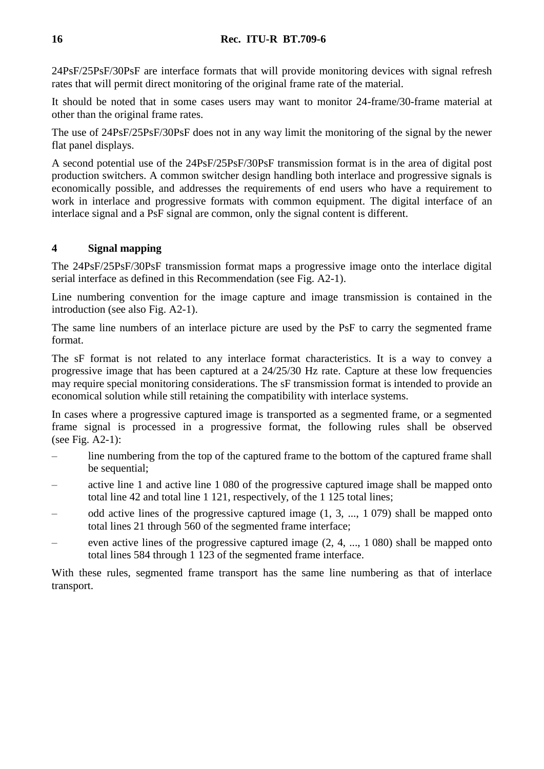24PsF/25PsF/30PsF are interface formats that will provide monitoring devices with signal refresh rates that will permit direct monitoring of the original frame rate of the material.

It should be noted that in some cases users may want to monitor 24-frame/30-frame material at other than the original frame rates.

The use of 24PsF/25PsF/30PsF does not in any way limit the monitoring of the signal by the newer flat panel displays.

A second potential use of the 24PsF/25PsF/30PsF transmission format is in the area of digital post production switchers. A common switcher design handling both interlace and progressive signals is economically possible, and addresses the requirements of end users who have a requirement to work in interlace and progressive formats with common equipment. The digital interface of an interlace signal and a PsF signal are common, only the signal content is different.

### **4 Signal mapping**

The 24PsF/25PsF/30PsF transmission format maps a progressive image onto the interlace digital serial interface as defined in this Recommendation (see Fig. A2-1).

Line numbering convention for the image capture and image transmission is contained in the introduction (see also Fig. A2-1).

The same line numbers of an interlace picture are used by the PsF to carry the segmented frame format.

The sF format is not related to any interlace format characteristics. It is a way to convey a progressive image that has been captured at a 24/25/30 Hz rate. Capture at these low frequencies may require special monitoring considerations. The sF transmission format is intended to provide an economical solution while still retaining the compatibility with interlace systems.

In cases where a progressive captured image is transported as a segmented frame, or a segmented frame signal is processed in a progressive format, the following rules shall be observed (see Fig. A2-1):

- line numbering from the top of the captured frame to the bottom of the captured frame shall be sequential;
- active line 1 and active line 1 080 of the progressive captured image shall be mapped onto total line 42 and total line 1 121, respectively, of the 1 125 total lines;
- odd active lines of the progressive captured image (1, 3, ..., 1 079) shall be mapped onto total lines 21 through 560 of the segmented frame interface;
- even active lines of the progressive captured image  $(2, 4, ..., 1080)$  shall be mapped onto total lines 584 through 1 123 of the segmented frame interface.

With these rules, segmented frame transport has the same line numbering as that of interlace transport.